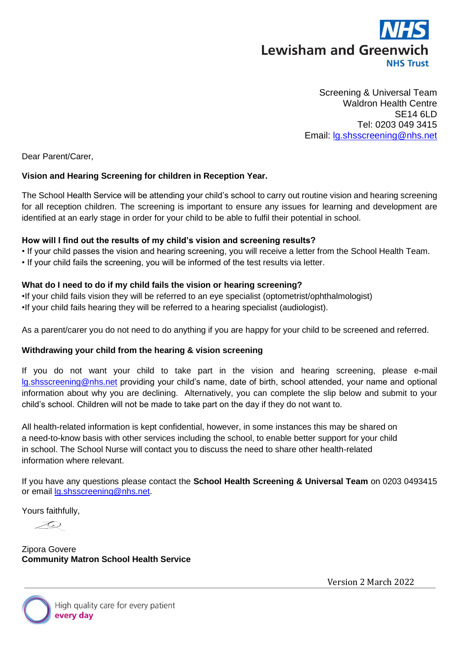

 Screening & Universal Team Waldron Health Centre SE14 6LD Tel: 0203 049 3415 Email: [lg.shsscreening@nhs.net](mailto:lg.shsscreening@nhs.net)

Dear Parent/Carer,

## **Vision and Hearing Screening for children in Reception Year.**

The School Health Service will be attending your child's school to carry out routine vision and hearing screening for all reception children. The screening is important to ensure any issues for learning and development are identified at an early stage in order for your child to be able to fulfil their potential in school.

## **How will I find out the results of my child's vision and screening results?**

• If your child passes the vision and hearing screening, you will receive a letter from the School Health Team.

• If your child fails the screening, you will be informed of the test results via letter.

## **What do I need to do if my child fails the vision or hearing screening?**

•If your child fails vision they will be referred to an eye specialist (optometrist/ophthalmologist) •If your child fails hearing they will be referred to a hearing specialist (audiologist).

As a parent/carer you do not need to do anything if you are happy for your child to be screened and referred.

## **Withdrawing your child from the hearing & vision screening**

If you do not want your child to take part in the vision and hearing screening, please e-mail [lg.shsscreening@nhs.net](mailto:lg.shsscreening@nhs.net) providing your child's name, date of birth, school attended, your name and optional information about why you are declining. Alternatively, you can complete the slip below and submit to your child's school. Children will not be made to take part on the day if they do not want to.

All health-related information is kept confidential, however, in some instances this may be shared on a need-to-know basis with other services including the school, to enable better support for your child in school. The School Nurse will contact you to discuss the need to share other health-related information where relevant.

If you have any questions please contact the **School Health Screening & Universal Team** on 0203 0493415 or email [lg.shsscreening@nhs.net.](mailto:lg.shsscreening@nhs.net)

Yours faithfully,

 $\mathcal{Z}_{\mathbb{Q}}$ 

Zipora Govere **Community Matron School Health Service**

Version 2 March 2022